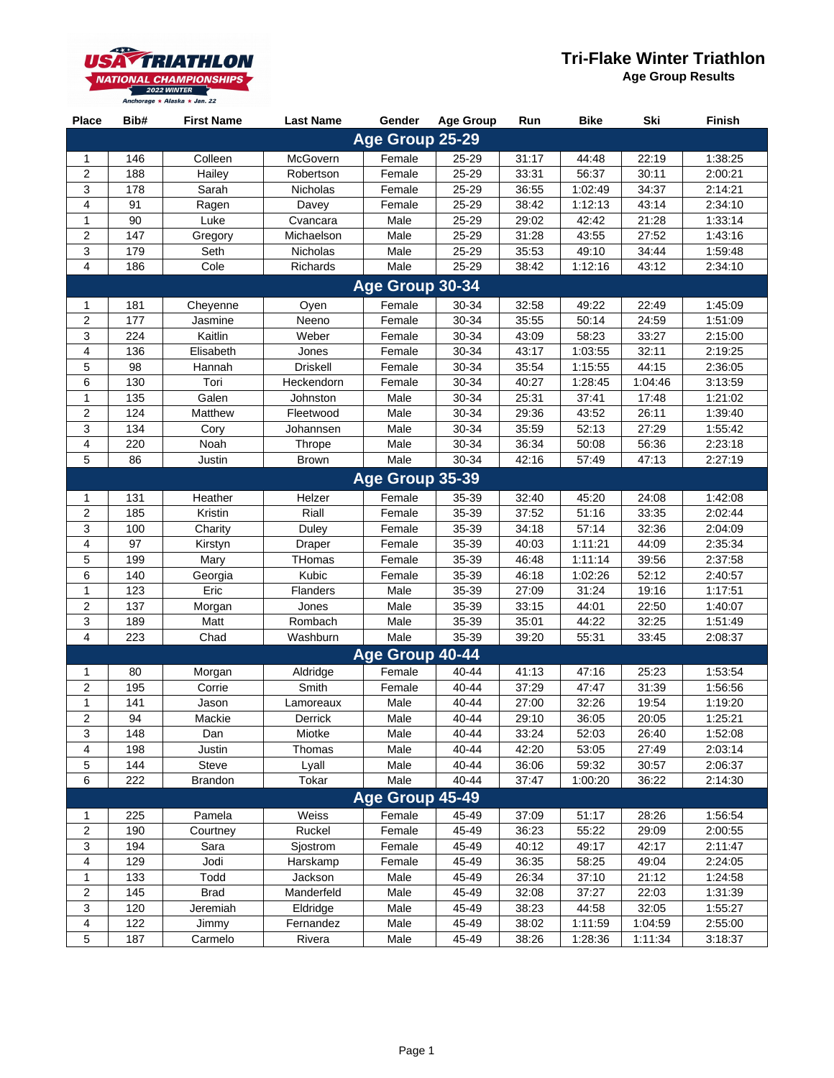## **Tri-Flake Winter Triathlon**



**Age Group Results**

| <b>Place</b>              | Bib# | <b>First Name</b> | <b>Last Name</b> | Gender          | <b>Age Group</b> | Run   | <b>Bike</b> | Ski     | Finish  |  |  |
|---------------------------|------|-------------------|------------------|-----------------|------------------|-------|-------------|---------|---------|--|--|
| Age Group 25-29           |      |                   |                  |                 |                  |       |             |         |         |  |  |
| 1                         | 146  | Colleen           | McGovern         | Female          | 25-29            | 31:17 | 44:48       | 22:19   | 1:38:25 |  |  |
| $\overline{c}$            | 188  | Hailey            | Robertson        | Female          | 25-29            | 33:31 | 56:37       | 30:11   | 2:00:21 |  |  |
| 3                         | 178  | Sarah             | <b>Nicholas</b>  | Female          | 25-29            | 36:55 | 1:02:49     | 34:37   | 2:14:21 |  |  |
| $\pmb{4}$                 | 91   | Ragen             | Davey            | Female          | 25-29            | 38:42 | 1:12:13     | 43:14   | 2:34:10 |  |  |
| $\mathbf{1}$              | 90   | Luke              | Cvancara         | Male            | 25-29            | 29:02 | 42:42       | 21:28   | 1:33:14 |  |  |
| $\overline{2}$            | 147  | Gregory           | Michaelson       | Male            | 25-29            | 31:28 | 43:55       | 27:52   | 1:43:16 |  |  |
| 3                         | 179  | Seth              | <b>Nicholas</b>  | Male            | 25-29            | 35:53 | 49:10       | 34:44   | 1:59:48 |  |  |
| 4                         | 186  | Cole              | Richards         | Male            | 25-29            | 38:42 | 1:12:16     | 43:12   | 2:34:10 |  |  |
| Age Group 30-34           |      |                   |                  |                 |                  |       |             |         |         |  |  |
| 1                         | 181  | Cheyenne          | Oyen             | Female          | 30-34            | 32:58 | 49:22       | 22:49   | 1:45:09 |  |  |
| $\overline{c}$            | 177  | Jasmine           | Neeno            | Female          | 30-34            | 35:55 | 50:14       | 24:59   | 1:51:09 |  |  |
| 3                         | 224  | Kaitlin           | Weber            | Female          | 30-34            | 43:09 | 58:23       | 33:27   | 2:15:00 |  |  |
| $\overline{4}$            | 136  | Elisabeth         | Jones            | Female          | 30-34            | 43:17 | 1:03:55     | 32:11   | 2:19:25 |  |  |
| 5                         | 98   | Hannah            | <b>Driskell</b>  | Female          | 30-34            | 35:54 | 1:15:55     | 44:15   | 2:36:05 |  |  |
| 6                         | 130  | Tori              | Heckendorn       | Female          | 30-34            | 40:27 | 1:28:45     | 1:04:46 | 3:13:59 |  |  |
| $\mathbf 1$               | 135  | Galen             | Johnston         | Male            | 30-34            | 25:31 | 37:41       | 17:48   | 1:21:02 |  |  |
| $\overline{c}$            | 124  | Matthew           | Fleetwood        | Male            | 30-34            | 29:36 | 43:52       | 26:11   | 1:39:40 |  |  |
| 3                         | 134  | Cory              | Johannsen        | Male            | 30-34            | 35:59 | 52:13       | 27:29   | 1:55:42 |  |  |
| 4                         | 220  | Noah              | Thrope           | Male            | 30-34            | 36:34 | 50:08       | 56:36   | 2:23:18 |  |  |
| 5                         | 86   | <b>Justin</b>     | <b>Brown</b>     | Male            | 30-34            | 42:16 | 57:49       | 47:13   | 2:27:19 |  |  |
|                           |      |                   |                  | Age Group 35-39 |                  |       |             |         |         |  |  |
| $\mathbf 1$               | 131  | Heather           | Helzer           | Female          | 35-39            | 32:40 | 45:20       | 24:08   | 1:42:08 |  |  |
| $\mathbf 2$               | 185  | Kristin           | Riall            | Female          | 35-39            | 37:52 | 51:16       | 33:35   | 2:02:44 |  |  |
| 3                         | 100  | Charity           | Duley            | Female          | 35-39            | 34:18 | 57:14       | 32:36   | 2:04:09 |  |  |
| $\overline{4}$            | 97   | Kirstyn           | Draper           | Female          | 35-39            | 40:03 | 1:11:21     | 44:09   | 2:35:34 |  |  |
| 5                         | 199  | Mary              | THomas           | Female          | 35-39            | 46:48 | 1:11:14     | 39:56   | 2:37:58 |  |  |
| 6                         | 140  | Georgia           | Kubic            | Female          | 35-39            | 46:18 | 1:02:26     | 52:12   | 2:40:57 |  |  |
| $\mathbf{1}$              | 123  | Eric              | Flanders         | Male            | 35-39            | 27:09 | 31:24       | 19:16   | 1:17:51 |  |  |
| $\sqrt{2}$                | 137  | Morgan            | Jones            | Male            | 35-39            | 33:15 | 44:01       | 22:50   | 1:40:07 |  |  |
| $\ensuremath{\mathsf{3}}$ | 189  | Matt              | Rombach          | Male            | 35-39            | 35:01 | 44:22       | 32:25   | 1:51:49 |  |  |
| $\overline{4}$            | 223  | Chad              | Washburn         | Male            | 35-39            | 39:20 | 55:31       | 33:45   | 2:08:37 |  |  |
|                           |      |                   |                  | Age Group 40-44 |                  |       |             |         |         |  |  |
| 1                         | 80   | Morgan            | Aldridge         | Female          | 40-44            | 41:13 | 47:16       | 25:23   | 1:53:54 |  |  |
| $\overline{2}$            | 195  | Corrie            | Smith            | Female          | 40-44            | 37:29 | 47:47       | 31:39   | 1:56:56 |  |  |
| $\mathbf 1$               | 141  | Jason             | Lamoreaux        | Male            | 40-44            | 27:00 | 32:26       | 19:54   | 1:19:20 |  |  |
| $\overline{c}$            | 94   | Mackie            | Derrick          | Male            | 40-44            | 29:10 | 36:05       | 20:05   | 1:25:21 |  |  |
| 3                         | 148  | Dan               | Miotke           | Male            | 40-44            | 33:24 | 52:03       | 26:40   | 1:52:08 |  |  |
| 4                         | 198  | <b>Justin</b>     | Thomas           | Male            | 40-44            | 42:20 | 53:05       | 27:49   | 2:03:14 |  |  |
| 5                         | 144  | Steve             | Lyall            | Male            | 40-44            | 36:06 | 59:32       | 30:57   | 2:06:37 |  |  |
| 6                         | 222  | <b>Brandon</b>    | Tokar            | Male            | 40-44            | 37:47 | 1:00:20     | 36:22   | 2:14:30 |  |  |
|                           |      |                   |                  | Age Group 45-49 |                  |       |             |         |         |  |  |
| 1                         | 225  | Pamela            | Weiss            | Female          | 45-49            | 37:09 | 51:17       | 28:26   | 1:56:54 |  |  |
| $\sqrt{2}$                | 190  | Courtney          | Ruckel           | Female          | 45-49            | 36:23 | 55:22       | 29:09   | 2:00:55 |  |  |
| $\ensuremath{\mathsf{3}}$ | 194  | Sara              | Sjostrom         | Female          | 45-49            | 40:12 | 49:17       | 42:17   | 2:11:47 |  |  |
| $\overline{4}$            | 129  | Jodi              | Harskamp         | Female          | 45-49            | 36:35 | 58:25       | 49:04   | 2:24:05 |  |  |
| 1                         | 133  | Todd              | Jackson          | Male            | 45-49            | 26:34 | 37:10       | 21:12   | 1:24:58 |  |  |
| $\overline{c}$            | 145  | <b>Brad</b>       | Manderfeld       | Male            | 45-49            | 32:08 | 37:27       | 22:03   | 1:31:39 |  |  |
| $\ensuremath{\mathsf{3}}$ | 120  | Jeremiah          | Eldridge         | Male            | 45-49            | 38:23 | 44:58       | 32:05   | 1:55:27 |  |  |
| $\pmb{4}$                 | 122  | Jimmy             | Fernandez        | Male            | 45-49            | 38:02 | 1:11:59     | 1:04:59 | 2:55:00 |  |  |
| 5                         | 187  | Carmelo           | Rivera           | Male            | 45-49            | 38:26 | 1:28:36     | 1:11:34 | 3:18:37 |  |  |